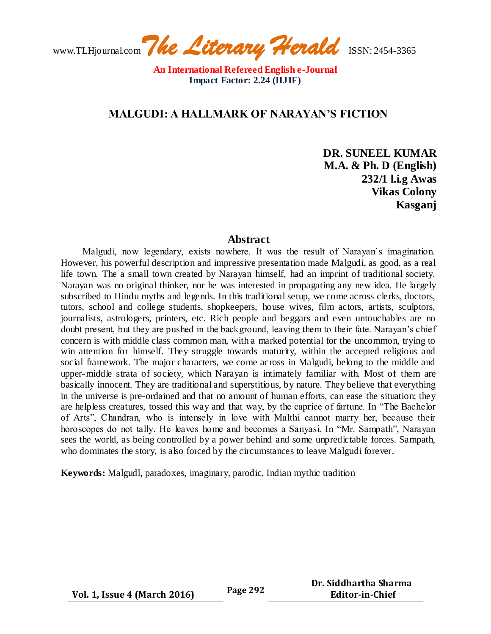www.TLHjournal.com*The Literary Herald*ISSN: 2454-3365

# **MALGUDI: A HALLMARK OF NARAYAN'S FICTION**

**DR. SUNEEL KUMAR M.A. & Ph. D (English) 232/1 l.i.g Awas Vikas Colony Kasganj** 

### **Abstract**

Malgudi, now legendary, exists nowhere. It was the result of Narayan's imagination. However, his powerful description and impressive presentation made Malgudi, as good, as a real life town. The a small town created by Narayan himself, had an imprint of traditional society. Narayan was no original thinker, nor he was interested in propagating any new idea. He largely subscribed to Hindu myths and legends. In this traditional setup, we come across clerks, doctors, tutors, school and college students, shopkeepers, house wives, film actors, artists, sculptors, journalists, astrologers, printers, etc. Rich people and beggars and even untouchables are no doubt present, but they are pushed in the background, leaving them to their fate. Narayan's chief concern is with middle class common man, with a marked potential for the uncommon, trying to win attention for himself. They struggle towards maturity, within the accepted religious and social framework. The major characters, we come across in Malgudi, belong to the middle and upper-middle strata of society, which Narayan is intimately familiar with. Most of them are basically innocent. They are traditional and superstitious, by nature. They believe that everything in the universe is pre-ordained and that no amount of human efforts, can ease the situation; they are helpless creatures, tossed this way and that way, by the caprice of fartune. In "The Bachelor of Arts", Chandran, who is intensely in love with Malthi cannot marry her, because their horoscopes do not tally. He leaves home and becomes a Sanyasi. In "Mr. Sampath", Narayan sees the world, as being controlled by a power behind and some unpredictable forces. Sampath, who dominates the story, is also forced by the circumstances to leave Malgudi forever.

**Keywords:** Malgudl, paradoxes, imaginary, parodic, Indian mythic tradition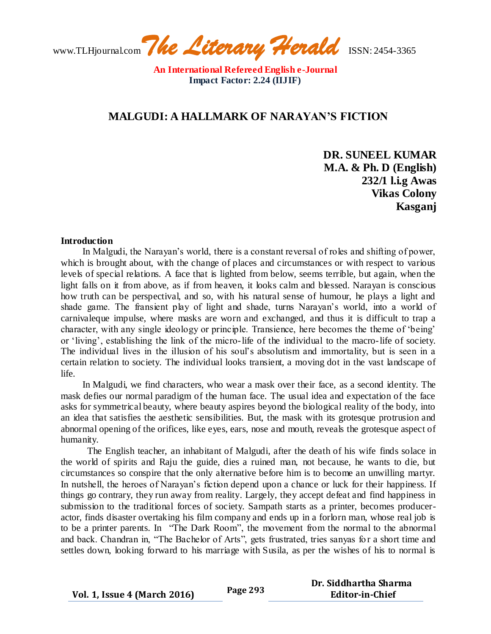www.TLHjournal.com*The Literary Herald*ISSN: 2454-3365

## **MALGUDI: A HALLMARK OF NARAYAN'S FICTION**

**DR. SUNEEL KUMAR M.A. & Ph. D (English) 232/1 l.i.g Awas Vikas Colony Kasganj** 

#### **Introduction**

In Malgudi, the Narayan's world, there is a constant reversal of roles and shifting of power, which is brought about, with the change of places and circumstances or with respect to various levels of special relations. A face that is lighted from below, seems terrible, but again, when the light falls on it from above, as if from heaven, it looks calm and blessed. Narayan is conscious how truth can be perspectival, and so, with his natural sense of humour, he plays a light and shade game. The fransient play of light and shade, turns Narayan's world, into a world of carnivaleque impulse, where masks are worn and exchanged, and thus it is difficult to trap a character, with any single ideology or principle. Transience, here becomes the theme of 'being' or 'living', establishing the link of the micro-life of the individual to the macro-life of society. The individual lives in the illusion of his soul's absolutism and immortality, but is seen in a certain relation to society. The individual looks transient, a moving dot in the vast landscape of life.

In Malgudi, we find characters, who wear a mask over their face, as a second identity. The mask defies our normal paradigm of the human face. The usual idea and expectation of the face asks for symmetrical beauty, where beauty aspires beyond the biological reality of the body, into an idea that satisfies the aesthetic sensibilities. But, the mask with its grotesque protrusion and abnormal opening of the orifices, like eyes, ears, nose and mouth, reveals the grotesque aspect of humanity.

The English teacher, an inhabitant of Malgudi, after the death of his wife finds solace in the world of spirits and Raju the guide, dies a ruined man, not because, he wants to die, but circumstances so conspire that the only alternative before him is to become an unwilling martyr. In nutshell, the heroes of Narayan's fiction depend upon a chance or luck for their happiness. If things go contrary, they run away from reality. Largely, they accept defeat and find happiness in submission to the traditional forces of society. Sampath starts as a printer, becomes produceractor, finds disaster overtaking his film company and ends up in a forlorn man, whose real job is to be a printer parents. In "The Dark Room", the movement from the normal to the abnormal and back. Chandran in, "The Bachelor of Arts", gets frustrated, tries sanyas for a short time and settles down, looking forward to his marriage with Susila, as per the wishes of his to normal is

**Vol. 1, Issue 4 (March 2016) Page 293**

 **Dr. Siddhartha Sharma Editor-in-Chief**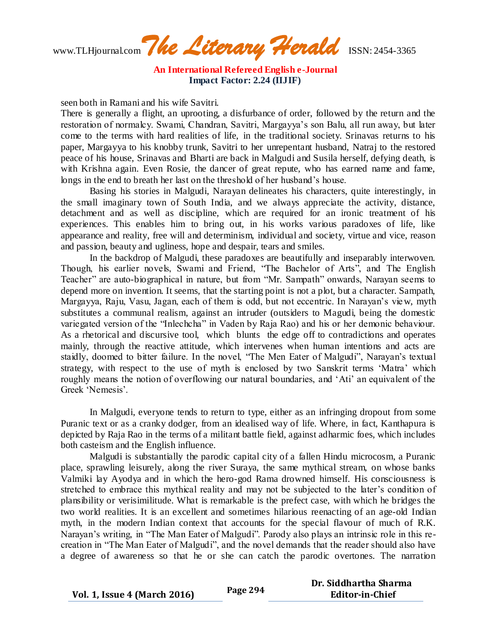www.TLHjournal.com*The Literary Herald*ISSN: 2454-3365

seen both in Ramani and his wife Savitri.

There is generally a flight, an uprooting, a disfurbance of order, followed by the return and the restoration of normalcy. Swami, Chandran, Savitri, Margayya's son Balu, all run away, but later come to the terms with hard realities of life, in the traditional society. Srinavas returns to his paper, Margayya to his knobby trunk, Savitri to her unrepentant husband, Natraj to the restored peace of his house, Srinavas and Bharti are back in Malgudi and Susila herself, defying death, is with Krishna again. Even Rosie, the dancer of great repute, who has earned name and fame, longs in the end to breath her last on the threshold of her husband's house.

Basing his stories in Malgudi, Narayan delineates his characters, quite interestingly, in the small imaginary town of South India, and we always appreciate the activity, distance, detachment and as well as discipline, which are required for an ironic treatment of his experiences. This enables him to bring out, in his works various paradoxes of life, like appearance and reality, free will and determinism, individual and society, virtue and vice, reason and passion, beauty and ugliness, hope and despair, tears and smiles.

In the backdrop of Malgudi, these paradoxes are beautifully and inseparably interwoven. Though, his earlier novels, Swami and Friend, "The Bachelor of Arts", and The English Teacher" are auto-biographical in nature, but from "Mr. Sampath" onwards, Narayan seems to depend more on invention. It seems, that the starting point is not a plot, but a character. Sampath, Margayya, Raju, Vasu, Jagan, each of them is odd, but not eccentric. In Narayan's view, myth substitutes a communal realism, against an intruder (outsiders to Magudi, being the domestic variegated version of the "Inlechcha" in Vaden by Raja Rao) and his or her demonic behaviour. As a rhetorical and discursive tool, which blunts the edge off to contradictions and operates mainly, through the reactive attitude, which intervenes when human intentions and acts are staidly, doomed to bitter failure. In the novel, "The Men Eater of Malgudi", Narayan's textual strategy, with respect to the use of myth is enclosed by two Sanskrit terms 'Matra' which roughly means the notion of overflowing our natural boundaries, and 'Ati' an equivalent of the Greek 'Nemesis'.

In Malgudi, everyone tends to return to type, either as an infringing dropout from some Puranic text or as a cranky dodger, from an idealised way of life. Where, in fact, Kanthapura is depicted by Raja Rao in the terms of a militant battle field, against adharmic foes, which includes both casteism and the English influence.

Malgudi is substantially the parodic capital city of a fallen Hindu microcosm, a Puranic place, sprawling leisurely, along the river Suraya, the same mythical stream, on whose banks Valmiki lay Ayodya and in which the hero-god Rama drowned himself. His consciousness is stretched to embrace this mythical reality and may not be subjected to the later's condition of plansibility or verisimilitude. What is remarkable is the prefect case, with which he bridges the two world realities. It is an excellent and sometimes hilarious reenacting of an age-old Indian myth, in the modern Indian context that accounts for the special flavour of much of R.K. Narayan's writing, in "The Man Eater of Malgudi". Parody also plays an intrinsic role in this recreation in "The Man Eater of Malgudi", and the novel demands that the reader should also have a degree of awareness so that he or she can catch the parodic overtones. The narration

**Vol. 1, Issue 4 (March 2016) Page 294 Dr. Siddhartha Sharma Editor-in-Chief**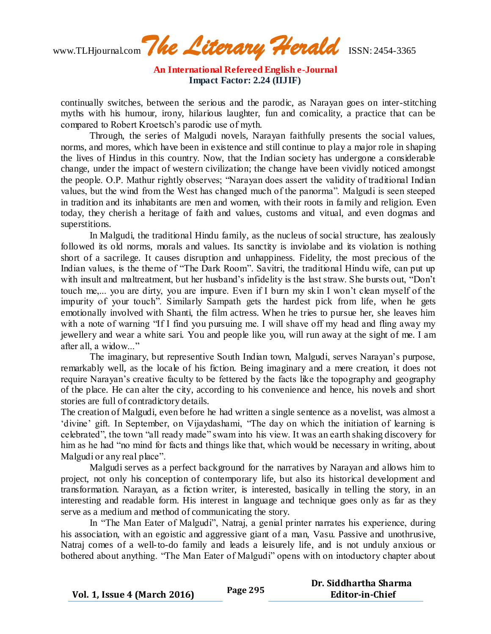www.TLHjournal.com*The Literary Herald*ISSN: 2454-3365

continually switches, between the serious and the parodic, as Narayan goes on inter-stitching myths with his humour, irony, hilarious laughter, fun and comicality, a practice that can be compared to Robert Kroetsch's parodic use of myth.

Through, the series of Malgudi novels, Narayan faithfully presents the social values, norms, and mores, which have been in existence and still continue to play a major role in shaping the lives of Hindus in this country. Now, that the Indian society has undergone a considerable change, under the impact of western civilization; the change have been vividly noticed amongst the people. O.P. Mathur rightly observes; "Narayan does assert the validity of traditional Indian values, but the wind from the West has changed much of the panorma". Malgudi is seen steeped in tradition and its inhabitants are men and women, with their roots in family and religion. Even today, they cherish a heritage of faith and values, customs and vitual, and even dogmas and superstitions.

In Malgudi, the traditional Hindu family, as the nucleus of social structure, has zealously followed its old norms, morals and values. Its sanctity is inviolabe and its violation is nothing short of a sacrilege. It causes disruption and unhappiness. Fidelity, the most precious of the Indian values, is the theme of "The Dark Room". Savitri, the traditional Hindu wife, can put up with insult and maltreatment, but her husband's infidelity is the last straw. She bursts out, "Don't touch me,... you are dirty, you are impure. Even if I burn my skin I won't clean myself of the impurity of your touch". Similarly Sampath gets the hardest pick from life, when he gets emotionally involved with Shanti, the film actress. When he tries to pursue her, she leaves him with a note of warning "If I find you pursuing me. I will shave off my head and fling away my jewellery and wear a white sari. You and people like you, will run away at the sight of me. I am after all, a widow..."

The imaginary, but representive South Indian town, Malgudi, serves Narayan's purpose, remarkably well, as the locale of his fiction. Being imaginary and a mere creation, it does not require Narayan's creative faculty to be fettered by the facts like the topography and geography of the place. He can alter the city, according to his convenience and hence, his novels and short stories are full of contradictory details.

The creation of Malgudi, even before he had written a single sentence as a novelist, was almost a 'divine' gift. In September, on Vijaydashami, "The day on which the initiation of learning is celebrated", the town "all ready made" swam into his view. It was an earth shaking discovery for him as he had "no mind for facts and things like that, which would be necessary in writing, about Malgudi or any real place".

Malgudi serves as a perfect background for the narratives by Narayan and allows him to project, not only his conception of contemporary life, but also its historical development and transformation. Narayan, as a fiction writer, is interested, basically in telling the story, in an interesting and readable form. His interest in language and technique goes only as far as they serve as a medium and method of communicating the story.

In "The Man Eater of Malgudi", Natraj, a genial printer narrates his experience, during his association, with an egoistic and aggressive giant of a man, Vasu. Passive and unothrusive, Natraj comes of a well-to-do family and leads a leisurely life, and is not unduly anxious or bothered about anything. "The Man Eater of Malgudi" opens with on intoductory chapter about

**Vol. 1, Issue 4 (March 2016) Page 295**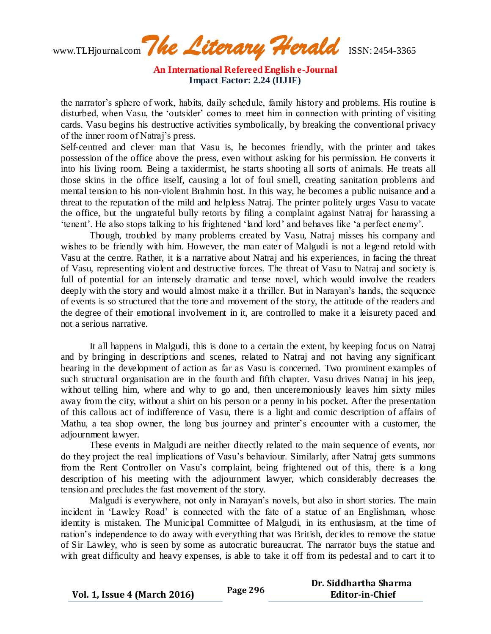**An International Refereed English e-Journal Impact Factor: 2.24 (IIJIF)**

the narrator's sphere of work, habits, daily schedule, family history and problems. His routine is disturbed, when Vasu, the 'outsider' comes to meet him in connection with printing of visiting cards. Vasu begins his destructive activities symbolically, by breaking the conventional privacy of the inner room of Natraj's press.

Self-centred and clever man that Vasu is, he becomes friendly, with the printer and takes possession of the office above the press, even without asking for his permission. He converts it into his living room. Being a taxidermist, he starts shooting all sorts of animals. He treats all those skins in the office itself, causing a lot of foul smell, creating sanitation problems and mental tension to his non-violent Brahmin host. In this way, he becomes a public nuisance and a threat to the reputation of the mild and helpless Natraj. The printer politely urges Vasu to vacate the office, but the ungrateful bully retorts by filing a complaint against Natraj for harassing a 'tenent'. He also stops talking to his frightened 'land lord' and behaves like 'a perfect enemy'.

Though, troubled by many problems created by Vasu, Natraj misses his company and wishes to be friendly with him. However, the man eater of Malgudi is not a legend retold with Vasu at the centre. Rather, it is a narrative about Natraj and his experiences, in facing the threat of Vasu, representing violent and destructive forces. The threat of Vasu to Natraj and society is full of potential for an intensely dramatic and tense novel, which would involve the readers deeply with the story and would almost make it a thriller. But in Narayan's hands, the sequence of events is so structured that the tone and movement of the story, the attitude of the readers and the degree of their emotional involvement in it, are controlled to make it a leisurety paced and not a serious narrative.

It all happens in Malgudi, this is done to a certain the extent, by keeping focus on Natraj and by bringing in descriptions and scenes, related to Natraj and not having any significant bearing in the development of action as far as Vasu is concerned. Two prominent examples of such structural organisation are in the fourth and fifth chapter. Vasu drives Natraj in his jeep, without telling him, where and why to go and, then unceremoniously leaves him sixty miles away from the city, without a shirt on his person or a penny in his pocket. After the presentation of this callous act of indifference of Vasu, there is a light and comic description of affairs of Mathu, a tea shop owner, the long bus journey and printer's encounter with a customer, the adjournment lawyer.

These events in Malgudi are neither directly related to the main sequence of events, nor do they project the real implications of Vasu's behaviour. Similarly, after Natraj gets summons from the Rent Controller on Vasu's complaint, being frightened out of this, there is a long description of his meeting with the adjournment lawyer, which considerably decreases the tension and precludes the fast movement of the story.

Malgudi is everywhere, not only in Narayan's novels, but also in short stories. The main incident in 'Lawley Road' is connected with the fate of a statue of an Englishman, whose identity is mistaken. The Municipal Committee of Malgudi, in its enthusiasm, at the time of nation's independence to do away with everything that was British, decides to remove the statue of Sir Lawley, who is seen by some as autocratic bureaucrat. The narrator buys the statue and with great difficulty and heavy expenses, is able to take it off from its pedestal and to cart it to

**Vol. 1, Issue 4 (March 2016) Page 296**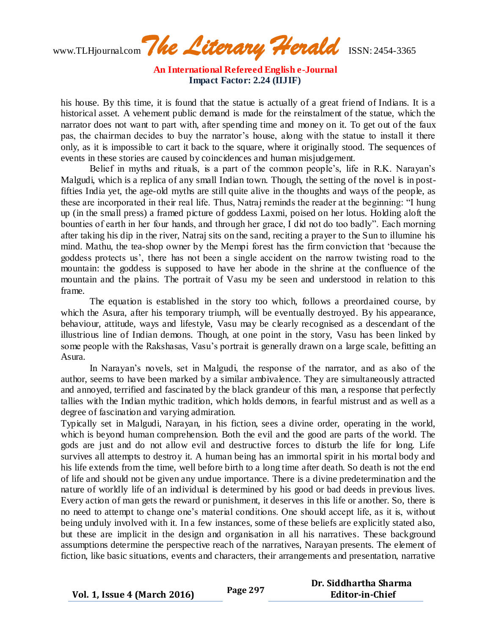**An International Refereed English e-Journal Impact Factor: 2.24 (IIJIF)**

his house. By this time, it is found that the statue is actually of a great friend of Indians. It is a historical asset. A vehement public demand is made for the reinstalment of the statue, which the narrator does not want to part with, after spending time and money on it. To get out of the faux pas, the chairman decides to buy the narrator's house, along with the statue to install it there only, as it is impossible to cart it back to the square, where it originally stood. The sequences of events in these stories are caused by coincidences and human misjudgement.

Belief in myths and rituals, is a part of the common people's, life in R.K. Narayan's Malgudi, which is a replica of any small Indian town. Though, the setting of the novel is in postfifties India yet, the age-old myths are still quite alive in the thoughts and ways of the people, as these are incorporated in their real life. Thus, Natraj reminds the reader at the beginning: "I hung up (in the small press) a framed picture of goddess Laxmi, poised on her lotus. Holding aloft the bounties of earth in her four hands, and through her grace, I did not do too badly". Each morning after taking his dip in the river, Natraj sits on the sand, reciting a prayer to the Sun to illumine his mind. Mathu, the tea-shop owner by the Mempi forest has the firm conviction that 'because the goddess protects us', there has not been a single accident on the narrow twisting road to the mountain: the goddess is supposed to have her abode in the shrine at the confluence of the mountain and the plains. The portrait of Vasu my be seen and understood in relation to this frame.

The equation is established in the story too which, follows a preordained course, by which the Asura, after his temporary triumph, will be eventually destroyed. By his appearance, behaviour, attitude, ways and lifestyle, Vasu may be clearly recognised as a descendant of the illustrious line of Indian demons. Though, at one point in the story, Vasu has been linked by some people with the Rakshasas, Vasu's portrait is generally drawn on a large scale, befitting an Asura.

In Narayan's novels, set in Malgudi, the response of the narrator, and as also of the author, seems to have been marked by a similar ambivalence. They are simultaneously attracted and annoyed, terrified and fascinated by the black grandeur of this man, a response that perfectly tallies with the Indian mythic tradition, which holds demons, in fearful mistrust and as well as a degree of fascination and varying admiration.

Typically set in Malgudi, Narayan, in his fiction, sees a divine order, operating in the world, which is beyond human comprehension. Both the evil and the good are parts of the world. The gods are just and do not allow evil and destructive forces to disturb the life for long. Life survives all attempts to destroy it. A human being has an immortal spirit in his mortal body and his life extends from the time, well before birth to a long time after death. So death is not the end of life and should not be given any undue importance. There is a divine predetermination and the nature of worldly life of an individual is determined by his good or bad deeds in previous lives. Every action of man gets the reward or punishment, it deserves in this life or another. So, there is no need to attempt to change one's material conditions. One should accept life, as it is, without being unduly involved with it. In a few instances, some of these beliefs are explicitly stated also, but these are implicit in the design and organisation in all his narratives. These background assumptions determine the perspective reach of the narratives, Narayan presents. The element of fiction, like basic situations, events and characters, their arrangements and presentation, narrative

|                                     | Page 297 | Dr. Siddhartha Sharma  |
|-------------------------------------|----------|------------------------|
| <b>Vol. 1, Issue 4 (March 2016)</b> |          | <b>Editor-in-Chief</b> |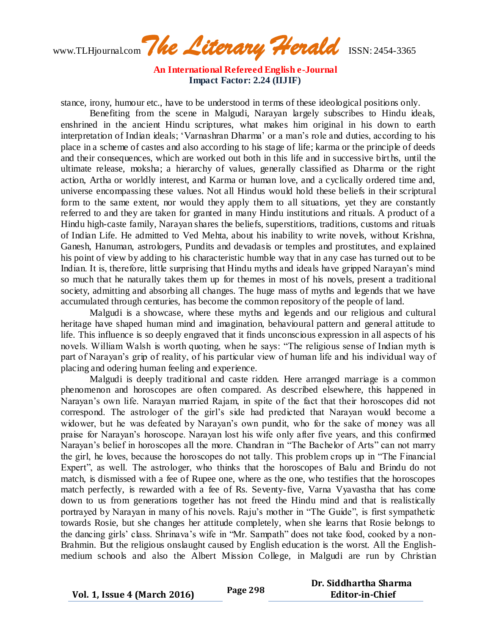**An International Refereed English e-Journal Impact Factor: 2.24 (IIJIF)**

stance, irony, humour etc., have to be understood in terms of these ideological positions only.

Benefiting from the scene in Malgudi, Narayan largely subscribes to Hindu ideals, enshrined in the ancient Hindu scriptures, what makes him original in his down to earth interpretation of Indian ideals; 'Varnashran Dharma' or a man's role and duties, according to his place in a scheme of castes and also according to his stage of life; karma or the principle of deeds and their consequences, which are worked out both in this life and in successive births, until the ultimate release, moksha; a hierarchy of values, generally classified as Dharma or the right action, Artha or worldly interest, and Karma or human love, and a cyclically ordered time and, universe encompassing these values. Not all Hindus would hold these beliefs in their scriptural form to the same extent, nor would they apply them to all situations, yet they are constantly referred to and they are taken for granted in many Hindu institutions and rituals. A product of a Hindu high-caste family, Narayan shares the beliefs, superstitions, traditions, customs and rituals of Indian Life. He admitted to Ved Mehta, about his inability to write novels, without Krishna, Ganesh, Hanuman, astrologers, Pundits and devadasis or temples and prostitutes, and explained his point of view by adding to his characteristic humble way that in any case has turned out to be Indian. It is, therefore, little surprising that Hindu myths and ideals have gripped Narayan's mind so much that he naturally takes them up for themes in most of his novels, present a traditional society, admitting and absorbing all changes. The huge mass of myths and legends that we have accumulated through centuries, has become the common repository of the people of land.

Malgudi is a showcase, where these myths and legends and our religious and cultural heritage have shaped human mind and imagination, behavioural pattern and general attitude to life. This influence is so deeply engraved that it finds unconscious expression in all aspects of his novels. William Walsh is worth quoting, when he says: "The religious sense of Indian myth is part of Narayan's grip of reality, of his particular view of human life and his individual way of placing and odering human feeling and experience.

Malgudi is deeply traditional and caste ridden. Here arranged marriage is a common phenomenon and horoscopes are often compared. As described elsewhere, this happened in Narayan's own life. Narayan married Rajam, in spite of the fact that their horoscopes did not correspond. The astrologer of the girl's side had predicted that Narayan would become a widower, but he was defeated by Narayan's own pundit, who for the sake of money was all praise for Narayan's horoscope. Narayan lost his wife only after five years, and this confirmed Narayan's belief in horoscopes all the more. Chandran in "The Bachelor of Arts" can not marry the girl, he loves, because the horoscopes do not tally. This problem crops up in "The Financial Expert", as well. The astrologer, who thinks that the horoscopes of Balu and Brindu do not match, is dismissed with a fee of Rupee one, where as the one, who testifies that the horoscopes match perfectly, is rewarded with a fee of Rs. Seventy-five, Varna Vyavastha that has come down to us from generations together has not freed the Hindu mind and that is realistically portrayed by Narayan in many of his novels. Raju's mother in "The Guide", is first sympathetic towards Rosie, but she changes her attitude completely, when she learns that Rosie belongs to the dancing girls' class. Shrinava's wife in "Mr. Sampath" does not take food, cooked by a non-Brahmin. But the religious onslaught caused by English education is the worst. All the Englishmedium schools and also the Albert Mission College, in Malgudi are run by Christian

**Vol. 1, Issue 4 (March 2016) Page 298 Dr. Siddhartha Sharma Editor-in-Chief**